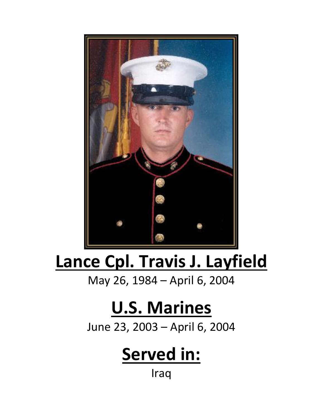

# **Lance Cpl. Travis J. Layfield**

#### May 26, 1984 – April 6, 2004

# **U.S. Marines**

June 23, 2003 – April 6, 2004

### **Served in:**

Iraq